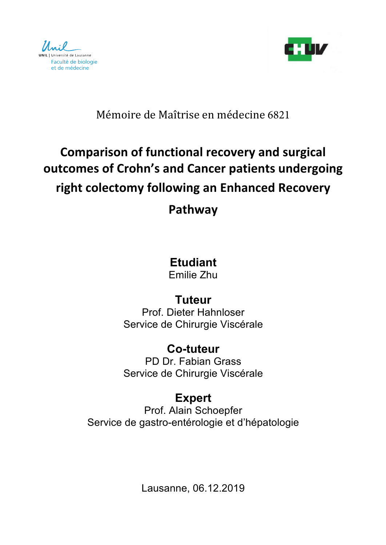



### Mémoire de Maîtrise en médecine 6821

# **Comparison of functional recovery and surgical outcomes of Crohn's and Cancer patients undergoing right colectomy following an Enhanced Recovery**

### **Pathway**

# **Etudiant**

Emilie Zhu

## **Tuteur**

Prof. Dieter Hahnloser Service de Chirurgie Viscérale

# **Co-tuteur**

PD Dr. Fabian Grass Service de Chirurgie Viscérale

### **Expert**

Prof. Alain Schoepfer Service de gastro-entérologie et d'hépatologie

Lausanne, 06.12.2019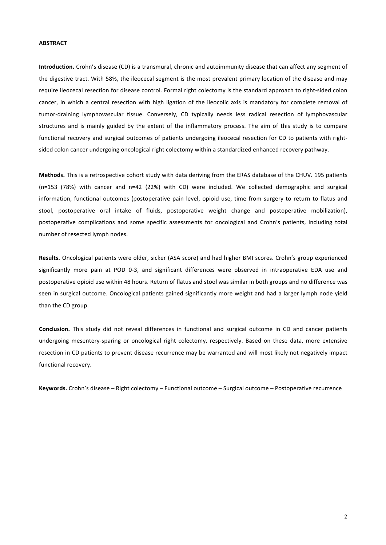#### **ABSTRACT**

**Introduction.** Crohn's disease (CD) is a transmural, chronic and autoimmunity disease that can affect any segment of the digestive tract. With 58%, the ileocecal segment is the most prevalent primary location of the disease and may require ileocecal resection for disease control. Formal right colectomy is the standard approach to right-sided colon cancer, in which a central resection with high ligation of the ileocolic axis is mandatory for complete removal of tumor-draining lymphovascular tissue. Conversely, CD typically needs less radical resection of lymphovascular structures and is mainly guided by the extent of the inflammatory process. The aim of this study is to compare functional recovery and surgical outcomes of patients undergoing ileocecal resection for CD to patients with rightsided colon cancer undergoing oncological right colectomy within a standardized enhanced recovery pathway.

**Methods.** This is a retrospective cohort study with data deriving from the ERAS database of the CHUV. 195 patients (n=153 (78%) with cancer and  $n=42$  (22%) with CD) were included. We collected demographic and surgical information, functional outcomes (postoperative pain level, opioid use, time from surgery to return to flatus and stool, postoperative oral intake of fluids, postoperative weight change and postoperative mobilization), postoperative complications and some specific assessments for oncological and Crohn's patients, including total number of resected lymph nodes.

Results. Oncological patients were older, sicker (ASA score) and had higher BMI scores. Crohn's group experienced significantly more pain at POD 0-3, and significant differences were observed in intraoperative EDA use and postoperative opioid use within 48 hours. Return of flatus and stool was similar in both groups and no difference was seen in surgical outcome. Oncological patients gained significantly more weight and had a larger lymph node yield than the CD group.

**Conclusion.** This study did not reveal differences in functional and surgical outcome in CD and cancer patients undergoing mesentery-sparing or oncological right colectomy, respectively. Based on these data, more extensive resection in CD patients to prevent disease recurrence may be warranted and will most likely not negatively impact functional recovery.

**Keywords.** Crohn's disease – Right colectomy – Functional outcome – Surgical outcome – Postoperative recurrence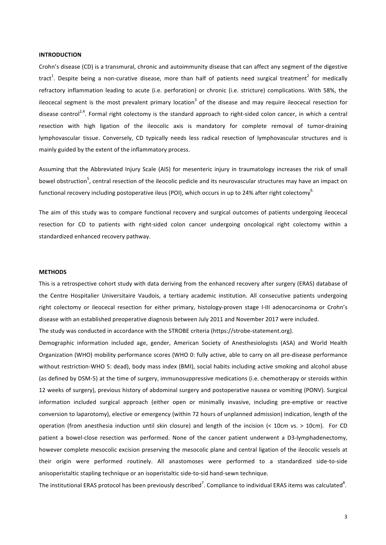#### **INTRODUCTION**

Crohn's disease (CD) is a transmural, chronic and autoimmunity disease that can affect any segment of the digestive tract<sup>1</sup>. Despite being a non-curative disease, more than half of patients need surgical treatment<sup>2</sup> for medically refractory inflammation leading to acute (i.e. perforation) or chronic (i.e. stricture) complications. With 58%, the ileocecal segment is the most prevalent primary location<sup>3</sup> of the disease and may require ileocecal resection for disease control<sup>2,4</sup>. Formal right colectomy is the standard approach to right-sided colon cancer, in which a central resection with high ligation of the ileocolic axis is mandatory for complete removal of tumor-draining lymphovascular tissue. Conversely, CD typically needs less radical resection of lymphovascular structures and is mainly guided by the extent of the inflammatory process.

Assuming that the Abbreviated Injury Scale (AIS) for mesenteric injury in traumatology increases the risk of small bowel obstruction<sup>5</sup>, central resection of the ileocolic pedicle and its neurovascular structures may have an impact on functional recovery including postoperative ileus (POI), which occurs in up to 24% after right colectomy<sup>6.</sup>

The aim of this study was to compare functional recovery and surgical outcomes of patients undergoing ileocecal resection for CD to patients with right-sided colon cancer undergoing oncological right colectomy within a standardized enhanced recovery pathway.

#### **METHODS**

This is a retrospective cohort study with data deriving from the enhanced recovery after surgery (ERAS) database of the Centre Hospitalier Universitaire Vaudois, a tertiary academic institution. All consecutive patients undergoing right colectomy or ileocecal resection for either primary, histology-proven stage I-III adenocarcinoma or Crohn's disease with an established preoperative diagnosis between July 2011 and November 2017 were included.

The study was conducted in accordance with the STROBE criteria (https://strobe-statement.org).

Demographic information included age, gender, American Society of Anesthesiologists (ASA) and World Health Organization (WHO) mobility performance scores (WHO 0: fully active, able to carry on all pre-disease performance without restriction-WHO 5: dead), body mass index (BMI), social habits including active smoking and alcohol abuse (as defined by DSM-5) at the time of surgery, immunosuppressive medications (i.e. chemotherapy or steroids within 12 weeks of surgery), previous history of abdominal surgery and postoperative nausea or vomiting (PONV). Surgical information included surgical approach (either open or minimally invasive, including pre-emptive or reactive conversion to laparotomy), elective or emergency (within 72 hours of unplanned admission) indication, length of the operation (from anesthesia induction until skin closure) and length of the incision  $\langle$ < 10cm vs. > 10cm). For CD patient a bowel-close resection was performed. None of the cancer patient underwent a D3-lymphadenectomy, however complete mesocolic excision preserving the mesocolic plane and central ligation of the ileocolic vessels at their origin were performed routinely. All anastomoses were performed to a standardized side-to-side anisoperistaltic stapling technique or an isoperistaltic side-to-sid hand-sewn technique.

The institutional ERAS protocol has been previously described<sup>7</sup>. Compliance to individual ERAS items was calculated<sup>8</sup>.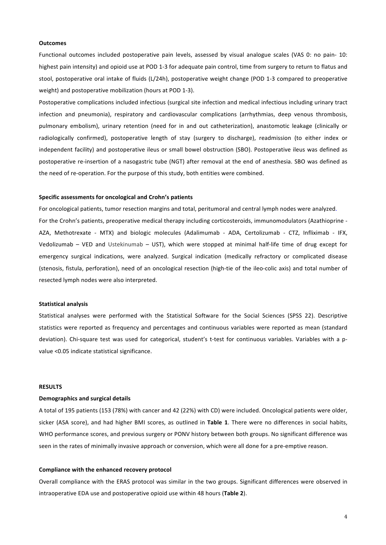#### **Outcomes**

Functional outcomes included postoperative pain levels, assessed by visual analogue scales (VAS 0: no pain- 10: highest pain intensity) and opioid use at POD 1-3 for adequate pain control, time from surgery to return to flatus and stool, postoperative oral intake of fluids (L/24h), postoperative weight change (POD 1-3 compared to preoperative weight) and postoperative mobilization (hours at POD 1-3).

Postoperative complications included infectious (surgical site infection and medical infectious including urinary tract infection and pneumonia), respiratory and cardiovascular complications (arrhythmias, deep venous thrombosis, pulmonary embolism), urinary retention (need for in and out catheterization), anastomotic leakage (clinically or radiologically confirmed), postoperative length of stay (surgery to discharge), readmission (to either index or independent facility) and postoperative ileus or small bowel obstruction (SBO). Postoperative ileus was defined as postoperative re-insertion of a nasogastric tube (NGT) after removal at the end of anesthesia. SBO was defined as the need of re-operation. For the purpose of this study, both entities were combined.

#### **Specific assessments for oncological and Crohn's patients**

For oncological patients, tumor resection margins and total, peritumoral and central lymph nodes were analyzed. For the Crohn's patients, preoperative medical therapy including corticosteroids, immunomodulators (Azathioprine -AZA, Methotrexate - MTX) and biologic molecules (Adalimumab - ADA, Certolizumab - CTZ, Infliximab - IFX, Vedolizumab – VED and Ustekinumab – UST), which were stopped at minimal half-life time of drug except for emergency surgical indications, were analyzed. Surgical indication (medically refractory or complicated disease (stenosis, fistula, perforation), need of an oncological resection (high-tie of the ileo-colic axis) and total number of resected lymph nodes were also interpreted.

#### **Statistical analysis**

Statistical analyses were performed with the Statistical Software for the Social Sciences (SPSS 22). Descriptive statistics were reported as frequency and percentages and continuous variables were reported as mean (standard deviation). Chi-square test was used for categorical, student's t-test for continuous variables. Variables with a pvalue <0.05 indicate statistical significance.

#### **RESULTS**

#### **Demographics and surgical details**

A total of 195 patients (153 (78%) with cancer and 42 (22%) with CD) were included. Oncological patients were older, sicker (ASA score), and had higher BMI scores, as outlined in Table 1. There were no differences in social habits, WHO performance scores, and previous surgery or PONV history between both groups. No significant difference was seen in the rates of minimally invasive approach or conversion, which were all done for a pre-emptive reason.

#### **Compliance with the enhanced recovery protocol**

Overall compliance with the ERAS protocol was similar in the two groups. Significant differences were observed in intraoperative EDA use and postoperative opioid use within 48 hours (Table 2).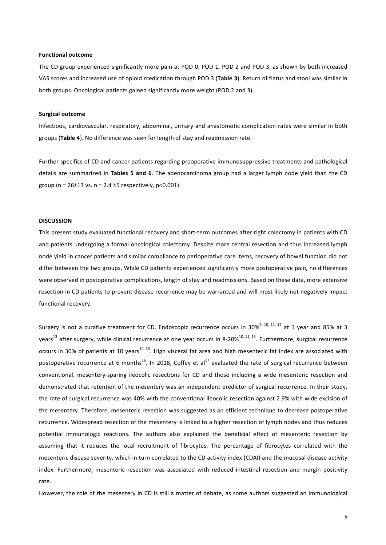#### **Functional outcome**

The CD group experienced significantly more pain at POD 0, POD 1, POD 2 and POD 3, as shown by both increased VAS scores and increased use of opioid medication through POD 3 (Table 3). Return of flatus and stool was similar in both groups. Oncological patients gained significantly more weight (POD 2 and 3).

#### **Surgical outcome**

Infectious, cardiovascular, respiratory, abdominal, urinary and anastomotic complication rates were similar in both groups (Table 4). No difference was seen for length of stay and readmission rate.

Further specifics of CD and cancer patients regarding preoperative immunosuppressive treatments and pathological details are summarized in Tables 5 and 6. The adenocarcinoma group had a larger lymph node yield than the CD group (n =  $26\pm13$  vs. n =  $2.4 \pm 5$  respectively, p<0.001).

#### **DISCUSSION**

This present study evaluated functional recovery and short-term outcomes after right colectomy in patients with CD and patients undergoing a formal oncological colectomy. Despite more central resection and thus increased lymph node yield in cancer patients and similar compliance to perioperative care items, recovery of bowel function did not differ between the two groups. While CD patients experienced significantly more postoperative pain, no differences were observed in postoperative complications, length of stay and readmissions. Based on these data, more extensive resection in CD patients to prevent disease recurrence may be warranted and will most likely not negatively impact functional recovery.

Surgery is not a curative treatment for CD. Endoscopic recurrence occurs in  $30\%^{9, 10, 11, 12}$  at 1 year and 85% at 3 years<sup>13</sup> after surgery, while clinical recurrence at one year occurs in 8-20%<sup>10, 11, 13</sup>. Furthermore, surgical recurrence occurs in 30% of patients at 10 years<sup>14, 15</sup>. High visceral fat area and high mesenteric fat index are associated with postoperative recurrence at 6 months<sup>16</sup>. In 2018, Coffey et al<sup>17</sup> evaluated the rate of surgical recurrence between conventional, mesentery-sparing ileocolic resections for CD and those including a wide mesenteric resection and demonstrated that retention of the mesentery was an independent predictor of surgical recurrence. In their study, the rate of surgical recurrence was 40% with the conventional ileocolic resection against 2.9% with wide excision of the mesentery. Therefore, mesenteric resection was suggested as an efficient technique to decrease postoperative recurrence. Widespread resection of the mesentery is linked to a higher resection of lymph nodes and thus reduces potential immunologic reactions. The authors also explained the beneficial effect of mesenteric resection by assuming that it reduces the local recruitment of fibrocytes. The percentage of fibrocytes correlated with the mesenteric disease severity, which in turn correlated to the CD activity index (CDAI) and the mucosal disease activity index. Furthermore, mesenteric resection was associated with reduced intestinal resection and margin positivity rate. 

However, the role of the mesentery in CD is still a matter of debate, as some authors suggested an immunological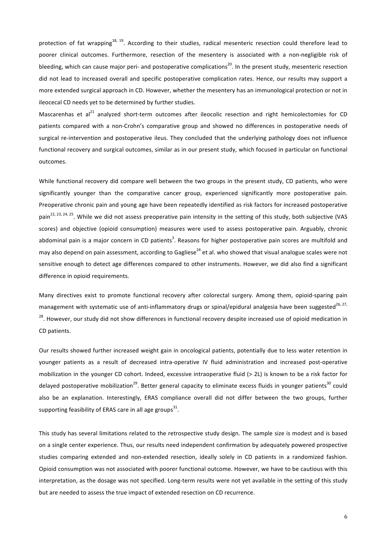protection of fat wrapping<sup>18, 19</sup>. According to their studies, radical mesenteric resection could therefore lead to poorer clinical outcomes. Furthermore, resection of the mesentery is associated with a non-negligible risk of bleeding, which can cause major peri- and postoperative complications<sup>20</sup>. In the present study, mesenteric resection did not lead to increased overall and specific postoperative complication rates. Hence, our results may support a more extended surgical approach in CD. However, whether the mesentery has an immunological protection or not in ileocecal CD needs yet to be determined by further studies.

Mascarenhas et al<sup>21</sup> analyzed short-term outcomes after ileocolic resection and right hemicolectomies for CD patients compared with a non-Crohn's comparative group and showed no differences in postoperative needs of surgical re-intervention and postoperative ileus. They concluded that the underlying pathology does not influence functional recovery and surgical outcomes, similar as in our present study, which focused in particular on functional outcomes.

While functional recovery did compare well between the two groups in the present study, CD patients, who were significantly younger than the comparative cancer group, experienced significantly more postoperative pain. Preoperative chronic pain and young age have been repeatedly identified as risk factors for increased postoperative pain<sup>22, 23, 24, 25</sup>. While we did not assess preoperative pain intensity in the setting of this study, both subjective (VAS scores) and objective (opioid consumption) measures were used to assess postoperative pain. Arguably, chronic abdominal pain is a major concern in CD patients<sup>3</sup>. Reasons for higher postoperative pain scores are multifold and may also depend on pain assessment, according to Gagliese<sup>24</sup> et al. who showed that visual analogue scales were not sensitive enough to detect age differences compared to other instruments. However, we did also find a significant difference in opioid requirements.

Many directives exist to promote functional recovery after colorectal surgery. Among them, opioid-sparing pain management with systematic use of anti-inflammatory drugs or spinal/epidural analgesia have been suggested<sup>26, 27,</sup> <sup>28</sup>. However, our study did not show differences in functional recovery despite increased use of opioid medication in CD patients.

Our results showed further increased weight gain in oncological patients, potentially due to less water retention in younger patients as a result of decreased intra-operative IV fluid administration and increased post-operative mobilization in the younger CD cohort. Indeed, excessive intraoperative fluid (> 2L) is known to be a risk factor for delayed postoperative mobilization<sup>29</sup>. Better general capacity to eliminate excess fluids in younger patients<sup>30</sup> could also be an explanation. Interestingly, ERAS compliance overall did not differ between the two groups, further supporting feasibility of ERAS care in all age groups<sup>31</sup>.

This study has several limitations related to the retrospective study design. The sample size is modest and is based on a single center experience. Thus, our results need independent confirmation by adequately powered prospective studies comparing extended and non-extended resection, ideally solely in CD patients in a randomized fashion. Opioid consumption was not associated with poorer functional outcome. However, we have to be cautious with this interpretation, as the dosage was not specified. Long-term results were not yet available in the setting of this study but are needed to assess the true impact of extended resection on CD recurrence.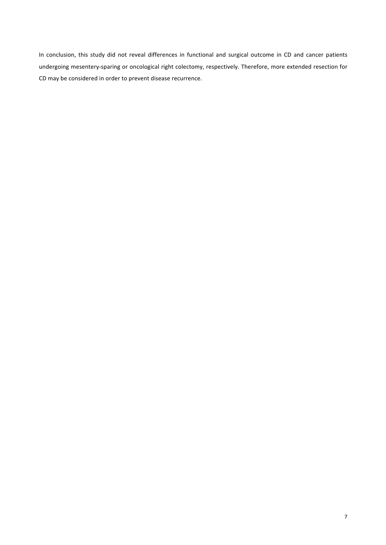In conclusion, this study did not reveal differences in functional and surgical outcome in CD and cancer patients undergoing mesentery-sparing or oncological right colectomy, respectively. Therefore, more extended resection for CD may be considered in order to prevent disease recurrence.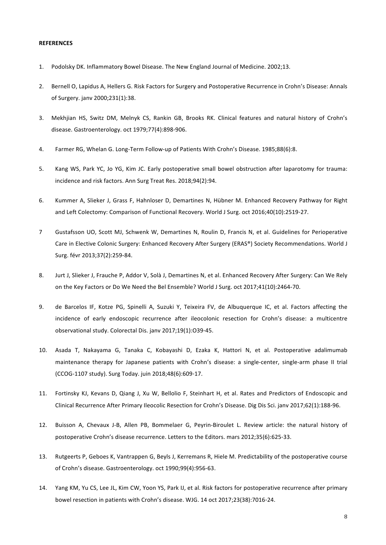#### **REFERENCES**

- 1. Podolsky DK. Inflammatory Bowel Disease. The New England Journal of Medicine. 2002;13.
- 2. Bernell O, Lapidus A, Hellers G. Risk Factors for Surgery and Postoperative Recurrence in Crohn's Disease: Annals of Surgery. jany 2000;231(1):38.
- 3. Mekhiian HS, Switz DM, Melnyk CS, Rankin GB, Brooks RK, Clinical features and natural history of Crohn's disease. Gastroenterology. oct 1979;77(4):898-906.
- 4. Farmer RG, Whelan G. Long-Term Follow-up of Patients With Crohn's Disease. 1985;88(6):8.
- 5. Kang WS, Park YC, Jo YG, Kim JC. Early postoperative small bowel obstruction after laparotomy for trauma: incidence and risk factors. Ann Surg Treat Res. 2018;94(2):94.
- 6. Kummer A, Slieker J, Grass F, Hahnloser D, Demartines N, Hübner M. Enhanced Recovery Pathway for Right and Left Colectomy: Comparison of Functional Recovery. World J Surg. oct 2016;40(10):2519-27.
- 7 Gustafsson UO, Scott MJ, Schwenk W, Demartines N, Roulin D, Francis N, et al. Guidelines for Perioperative Care in Elective Colonic Surgery: Enhanced Recovery After Surgery (ERAS®) Society Recommendations. World J Surg. févr 2013;37(2):259-84.
- 8. Jurt J, Slieker J, Frauche P, Addor V, Solà J, Demartines N, et al. Enhanced Recovery After Surgery: Can We Rely on the Key Factors or Do We Need the Bel Ensemble? World J Surg. oct 2017;41(10):2464-70.
- 9. de Barcelos IF, Kotze PG, Spinelli A, Suzuki Y, Teixeira FV, de Albuquerque IC, et al. Factors affecting the incidence of early endoscopic recurrence after ileocolonic resection for Crohn's disease: a multicentre observational study. Colorectal Dis. jany 2017;19(1):O39-45.
- 10. Asada T, Nakayama G, Tanaka C, Kobayashi D, Ezaka K, Hattori N, et al. Postoperative adalimumab maintenance therapy for Japanese patients with Crohn's disease: a single-center, single-arm phase II trial (CCOG-1107 study). Surg Today. juin 2018;48(6):609‑17.
- 11. Fortinsky KJ, Kevans D, Qiang J, Xu W, Bellolio F, Steinhart H, et al. Rates and Predictors of Endoscopic and Clinical Recurrence After Primary Ileocolic Resection for Crohn's Disease. Dig Dis Sci. janv 2017;62(1):188-96.
- 12. Buisson A, Chevaux J-B, Allen PB, Bommelaer G, Peyrin-Biroulet L. Review article: the natural history of postoperative Crohn's disease recurrence. Letters to the Editors. mars 2012;35(6):625-33.
- 13. Rutgeerts P, Geboes K, Vantrappen G, Beyls J, Kerremans R, Hiele M. Predictability of the postoperative course of Crohn's disease. Gastroenterology. oct 1990;99(4):956-63.
- 14. Yang KM, Yu CS, Lee JL, Kim CW, Yoon YS, Park IJ, et al. Risk factors for postoperative recurrence after primary bowel resection in patients with Crohn's disease. WJG. 14 oct 2017;23(38):7016-24.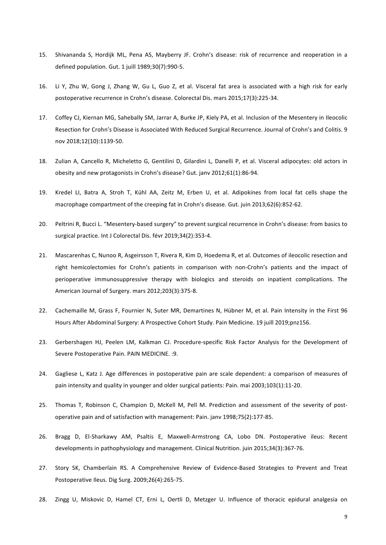- 15. Shivananda S, Hordijk ML, Pena AS, Mayberry JF. Crohn's disease: risk of recurrence and reoperation in a defined population. Gut. 1 juill 1989;30(7):990-5.
- 16. Li Y, Zhu W, Gong J, Zhang W, Gu L, Guo Z, et al. Visceral fat area is associated with a high risk for early postoperative recurrence in Crohn's disease. Colorectal Dis. mars 2015:17(3):225-34.
- 17. Coffey CJ, Kiernan MG, Sahebally SM, Jarrar A, Burke JP, Kiely PA, et al. Inclusion of the Mesentery in Ileocolic Resection for Crohn's Disease is Associated With Reduced Surgical Recurrence. Journal of Crohn's and Colitis. 9 nov 2018;12(10):1139‑50.
- 18. Zulian A, Cancello R, Micheletto G, Gentilini D, Gilardini L, Danelli P, et al. Visceral adipocytes: old actors in obesity and new protagonists in Crohn's disease? Gut. janv 2012;61(1):86-94.
- 19. Kredel LI, Batra A, Stroh T, Kühl AA, Zeitz M, Erben U, et al. Adipokines from local fat cells shape the macrophage compartment of the creeping fat in Crohn's disease. Gut. juin 2013;62(6):852-62.
- 20. Peltrini R, Bucci L. "Mesentery-based surgery" to prevent surgical recurrence in Crohn's disease: from basics to surgical practice. Int J Colorectal Dis. févr 2019;34(2):353-4.
- 21. Mascarenhas C, Nunoo R, Asgeirsson T, Rivera R, Kim D, Hoedema R, et al. Outcomes of ileocolic resection and right hemicolectomies for Crohn's patients in comparison with non-Crohn's patients and the impact of perioperative immunosuppressive therapy with biologics and steroids on inpatient complications. The American Journal of Surgery. mars 2012;203(3):375-8.
- 22. Cachemaille M, Grass F, Fournier N, Suter MR, Demartines N, Hübner M, et al. Pain Intensity in the First 96 Hours After Abdominal Surgery: A Prospective Cohort Study. Pain Medicine. 19 juill 2019;pnz156.
- 23. Gerbershagen HJ, Peelen LM, Kalkman CJ. Procedure-specific Risk Factor Analysis for the Development of Severe Postoperative Pain. PAIN MEDICINE. : 9.
- 24. Gagliese L, Katz J. Age differences in postoperative pain are scale dependent: a comparison of measures of pain intensity and quality in younger and older surgical patients: Pain. mai 2003;103(1):11-20.
- 25. Thomas T, Robinson C, Champion D, McKell M, Pell M. Prediction and assessment of the severity of postoperative pain and of satisfaction with management: Pain. janv 1998;75(2):177-85.
- 26. Bragg D, El-Sharkawy AM, Psaltis E, Maxwell-Armstrong CA, Lobo DN. Postoperative ileus: Recent developments in pathophysiology and management. Clinical Nutrition. juin 2015;34(3):367-76.
- 27. Story SK, Chamberlain RS. A Comprehensive Review of Evidence-Based Strategies to Prevent and Treat Postoperative Ileus. Dig Surg. 2009;26(4):265-75.
- 28. Zingg U, Miskovic D, Hamel CT, Erni L, Oertli D, Metzger U. Influence of thoracic epidural analgesia on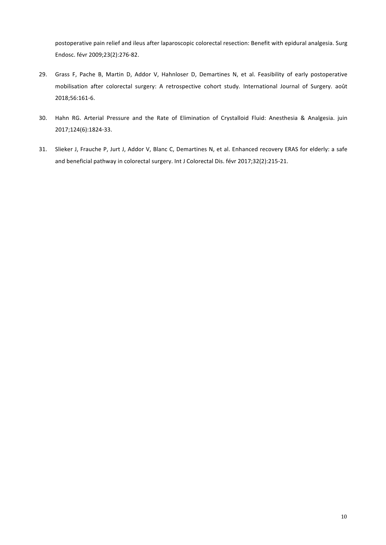postoperative pain relief and ileus after laparoscopic colorectal resection: Benefit with epidural analgesia. Surg Endosc. févr 2009;23(2):276‑82. 

- 29. Grass F, Pache B, Martin D, Addor V, Hahnloser D, Demartines N, et al. Feasibility of early postoperative mobilisation after colorectal surgery: A retrospective cohort study. International Journal of Surgery. août 2018;56:161‑6.
- 30. Hahn RG. Arterial Pressure and the Rate of Elimination of Crystalloid Fluid: Anesthesia & Analgesia. juin 2017;124(6):1824‑33.
- 31. Slieker J, Frauche P, Jurt J, Addor V, Blanc C, Demartines N, et al. Enhanced recovery ERAS for elderly: a safe and beneficial pathway in colorectal surgery. Int J Colorectal Dis. févr 2017;32(2):215-21.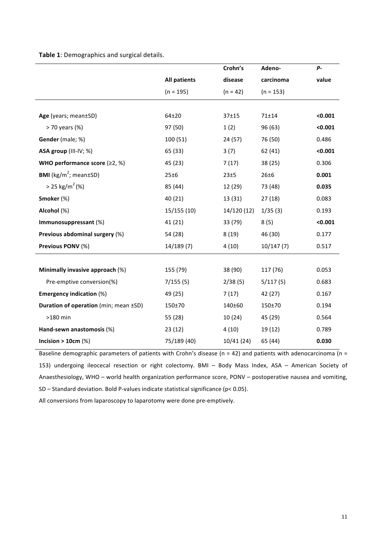Table 1: Demographics and surgical details.

|                                                |                     | Crohn's     | Adeno-      | <b>P</b> - |
|------------------------------------------------|---------------------|-------------|-------------|------------|
|                                                | <b>All patients</b> | disease     | carcinoma   | value      |
|                                                | $(n = 195)$         | $(n = 42)$  | $(n = 153)$ |            |
|                                                |                     |             |             |            |
| Age (years; mean±SD)                           | 64±20               | $37 + 15$   | 71±14       | < 0.001    |
| > 70 years (%)                                 | 97 (50)             | 1(2)        | 96 (63)     | < 0.001    |
| Gender (male; %)                               | 100 (51)            | 24(57)      | 76 (50)     | 0.486      |
| ASA group (III-IV; %)                          | 65 (33)             | 3(7)        | 62 (41)     | < 0.001    |
| WHO performance score $(22, %)$                | 45 (23)             | 7(17)       | 38 (25)     | 0.306      |
| <b>BMI</b> (kg/m <sup>2</sup> ; mean $\pm$ SD) | 25±6                | 23±5        | 26±6        | 0.001      |
| $> 25 \text{ kg/m}^2$ (%)                      | 85 (44)             | 12 (29)     | 73 (48)     | 0.035      |
| Smoker (%)                                     | 40 (21)             | 13 (31)     | 27(18)      | 0.083      |
| Alcohol (%)                                    | 15/155 (10)         | 14/120 (12) | 1/35(3)     | 0.193      |
| Immunosuppressant (%)                          | 41 (21)             | 33 (79)     | 8(5)        | < 0.001    |
| Previous abdominal surgery (%)                 | 54 (28)             | 8(19)       | 46 (30)     | 0.177      |
| Previous PONV (%)                              | 14/189(7)           | 4(10)       | 10/147(7)   | 0.517      |
|                                                |                     |             |             |            |
| Minimally invasive approach (%)                | 155 (79)            | 38 (90)     | 117 (76)    | 0.053      |
| Pre-emptive conversion(%)                      | 7/155(5)            | 2/38(5)     | 5/117(5)    | 0.683      |
| <b>Emergency indication (%)</b>                | 49 (25)             | 7(17)       | 42 (27)     | 0.167      |
| Duration of operation (min; mean ±SD)          | 150±70              | 140±60      | 150±70      | 0.194      |
| >180 min                                       | 55 (28)             | 10(24)      | 45 (29)     | 0.564      |
| Hand-sewn anastomosis (%)                      | 23(12)              | 4(10)       | 19 (12)     | 0.789      |
| Incision $> 10$ cm (%)                         | 75/189 (40)         | 10/41 (24)  | 65 (44)     | 0.030      |

Baseline demographic parameters of patients with Crohn's disease (n = 42) and patients with adenocarcinoma (n = 153) undergoing ileocecal resection or right colectomy. BMI - Body Mass Index, ASA - American Society of Anaesthesiology, WHO - world health organization performance score, PONV - postoperative nausea and vomiting, SD – Standard deviation. Bold P-values indicate statistical significance ( $p$ < 0.05).

All conversions from laparoscopy to laparotomy were done pre-emptively.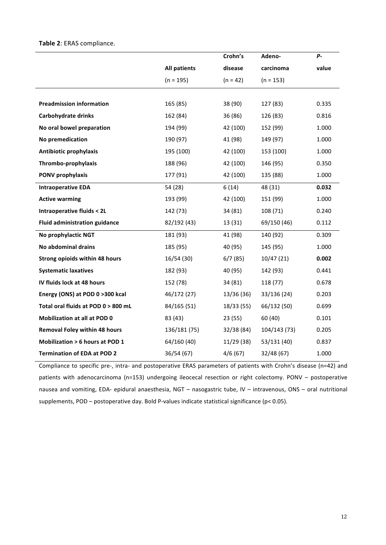#### Table 2: ERAS compliance.

|                                           |                     | Crohn's    | Adeno-       | <b>P-</b> |
|-------------------------------------------|---------------------|------------|--------------|-----------|
|                                           | <b>All patients</b> | disease    | carcinoma    | value     |
|                                           | $(n = 195)$         | $(n = 42)$ | $(n = 153)$  |           |
|                                           |                     |            |              |           |
| <b>Preadmission information</b>           | 165 (85)            | 38 (90)    | 127 (83)     | 0.335     |
| Carbohydrate drinks                       | 162 (84)            | 36 (86)    | 126 (83)     | 0.816     |
| No oral bowel preparation                 | 194 (99)            | 42 (100)   | 152 (99)     | 1.000     |
| No premedication                          | 190 (97)            | 41 (98)    | 149 (97)     | 1.000     |
| Antibiotic prophylaxis                    | 195 (100)           | 42 (100)   | 153 (100)    | 1.000     |
| Thrombo-prophylaxis                       | 188 (96)            | 42 (100)   | 146 (95)     | 0.350     |
| PONV prophylaxis                          | 177 (91)            | 42 (100)   | 135 (88)     | 1.000     |
| <b>Intraoperative EDA</b>                 | 54 (28)             | 6(14)      | 48 (31)      | 0.032     |
| <b>Active warming</b>                     | 193 (99)            | 42 (100)   | 151 (99)     | 1.000     |
| <b>Intraoperative fluids &lt; 2L</b>      | 142 (73)            | 34 (81)    | 108 (71)     | 0.240     |
| <b>Fluid administration guidance</b>      | 82/192 (43)         | 13 (31)    | 69/150 (46)  | 0.112     |
| No prophylactic NGT                       | 181 (93)            | 41 (98)    | 140 (92)     | 0.309     |
| No abdominal drains                       | 185 (95)            | 40 (95)    | 145 (95)     | 1.000     |
| Strong opioids within 48 hours            | 16/54 (30)          | 6/7(85)    | 10/47(21)    | 0.002     |
| <b>Systematic laxatives</b>               | 182 (93)            | 40 (95)    | 142 (93)     | 0.441     |
| IV fluids lock at 48 hours                | 152 (78)            | 34 (81)    | 118 (77)     | 0.678     |
| Energy (ONS) at POD 0 >300 kcal           | 46/172 (27)         | 13/36 (36) | 33/136 (24)  | 0.203     |
| Total oral fluids at POD 0 > 800 mL       | 84/165 (51)         | 18/33(55)  | 66/132 (50)  | 0.699     |
| <b>Mobilization at all at POD 0</b>       | 83 (43)             | 23(55)     | 60 (40)      | 0.101     |
| <b>Removal Foley within 48 hours</b>      | 136/181 (75)        | 32/38 (84) | 104/143 (73) | 0.205     |
| <b>Mobilization &gt; 6 hours at POD 1</b> | 64/160 (40)         | 11/29(38)  | 53/131 (40)  | 0.837     |
| <b>Termination of EDA at POD 2</b>        | 36/54 (67)          | 4/6(67)    | 32/48 (67)   | 1.000     |

Compliance to specific pre-, intra- and postoperative ERAS parameters of patients with Crohn's disease (n=42) and patients with adenocarcinoma (n=153) undergoing ileocecal resection or right colectomy. PONV - postoperative nausea and vomiting, EDA- epidural anaesthesia, NGT - nasogastric tube, IV - intravenous, ONS - oral nutritional supplements, POD – postoperative day. Bold P-values indicate statistical significance ( $p$ < 0.05).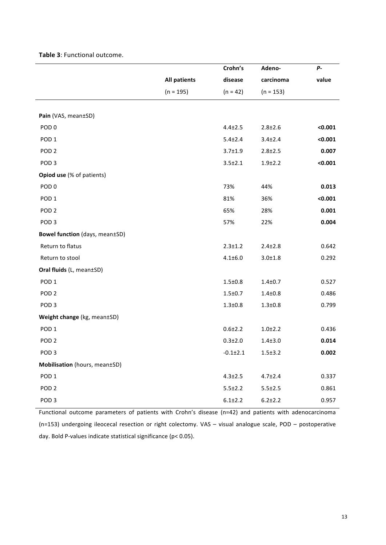|                                |                     | Crohn's        | Adeno-        | $P -$   |
|--------------------------------|---------------------|----------------|---------------|---------|
|                                | <b>All patients</b> | disease        | carcinoma     | value   |
|                                | $(n = 195)$         | $(n = 42)$     | $(n = 153)$   |         |
|                                |                     |                |               |         |
| Pain (VAS, mean±SD)            |                     |                |               |         |
| POD <sub>0</sub>               |                     | $4.4 \pm 2.5$  | $2.8 + 2.6$   | < 0.001 |
| POD <sub>1</sub>               |                     | $5.4 \pm 2.4$  | $3.4 \pm 2.4$ | < 0.001 |
| POD <sub>2</sub>               |                     | $3.7 \pm 1.9$  | $2.8 + 2.5$   | 0.007   |
| POD <sub>3</sub>               |                     | $3.5 \pm 2.1$  | $1.9 + 2.2$   | < 0.001 |
| Opiod use (% of patients)      |                     |                |               |         |
| POD <sub>0</sub>               |                     | 73%            | 44%           | 0.013   |
| POD <sub>1</sub>               |                     | 81%            | 36%           | < 0.001 |
| POD <sub>2</sub>               |                     | 65%            | 28%           | 0.001   |
| POD <sub>3</sub>               |                     | 57%            | 22%           | 0.004   |
| Bowel function (days, mean±SD) |                     |                |               |         |
| Return to flatus               |                     | $2.3 \pm 1.2$  | $2.4 \pm 2.8$ | 0.642   |
| Return to stool                |                     | $4.1 \pm 6.0$  | $3.0 + 1.8$   | 0.292   |
| Oral fluids (L, mean±SD)       |                     |                |               |         |
| POD <sub>1</sub>               |                     | $1.5 \pm 0.8$  | $1.4 + 0.7$   | 0.527   |
| POD <sub>2</sub>               |                     | $1.5 \pm 0.7$  | $1.4 + 0.8$   | 0.486   |
| POD <sub>3</sub>               |                     | $1.3 + 0.8$    | $1.3 + 0.8$   | 0.799   |
| Weight change (kg, mean±SD)    |                     |                |               |         |
| POD <sub>1</sub>               |                     | $0.6 + 2.2$    | $1.0 + 2.2$   | 0.436   |
| POD <sub>2</sub>               |                     | $0.3 \pm 2.0$  | $1.4 + 3.0$   | 0.014   |
| POD <sub>3</sub>               |                     | $-0.1 \pm 2.1$ | $1.5 + 3.2$   | 0.002   |
| Mobilisation (hours, mean±SD)  |                     |                |               |         |
| POD <sub>1</sub>               |                     | $4.3 \pm 2.5$  | $4.7 \pm 2.4$ | 0.337   |
| POD <sub>2</sub>               |                     | $5.5 \pm 2.2$  | $5.5 \pm 2.5$ | 0.861   |
| POD <sub>3</sub>               |                     | $6.1 \pm 2.2$  | $6.2 \pm 2.2$ | 0.957   |

**Table 3**: Functional outcome.

Functional outcome parameters of patients with Crohn's disease (n=42) and patients with adenocarcinoma (n=153) undergoing ileocecal resection or right colectomy. VAS – visual analogue scale,  $POD - postoperative$ day. Bold P-values indicate statistical significance ( $p$ < 0.05).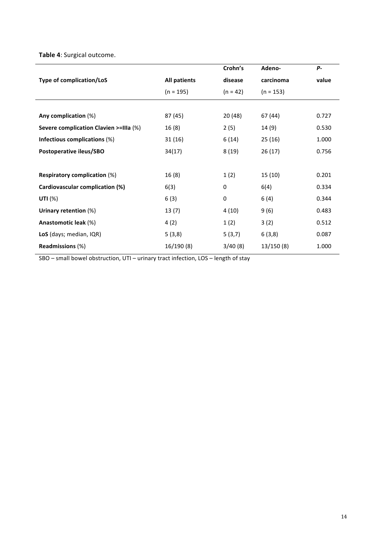**Table 4**: Surgical outcome.

|                                        |                     | Crohn's     | Adeno-      | <b>P</b> - |
|----------------------------------------|---------------------|-------------|-------------|------------|
| <b>Type of complication/LoS</b>        | <b>All patients</b> | disease     | carcinoma   | value      |
|                                        | $(n = 195)$         | $(n = 42)$  | $(n = 153)$ |            |
|                                        |                     |             |             |            |
| Any complication (%)                   | 87 (45)             | 20(48)      | 67 (44)     | 0.727      |
| Severe complication Clavien >=IIIa (%) | 16(8)               | 2(5)        | 14 (9)      | 0.530      |
| Infectious complications (%)           | 31(16)              | 6(14)       | 25(16)      | 1.000      |
| Postoperative ileus/SBO                | 34(17)              | 8(19)       | 26(17)      | 0.756      |
| <b>Respiratory complication (%)</b>    | 16(8)               | 1(2)        | 15(10)      | 0.201      |
| Cardiovascular complication (%)        | 6(3)                | 0           | 6(4)        | 0.334      |
| UTI $(%)$                              | 6(3)                | $\mathbf 0$ | 6(4)        | 0.344      |
| Urinary retention (%)                  | 13(7)               | 4(10)       | 9(6)        | 0.483      |
| Anastomotic leak (%)                   | 4(2)                | 1(2)        | 3(2)        | 0.512      |
| LoS (days; median, IQR)                | 5(3,8)              | 5(3,7)      | 6(3,8)      | 0.087      |
| <b>Readmissions (%)</b>                | 16/190(8)           | 3/40(8)     | 13/150(8)   | 1.000      |
|                                        |                     |             |             |            |

SBO – small bowel obstruction, UTI – urinary tract infection, LOS – length of stay